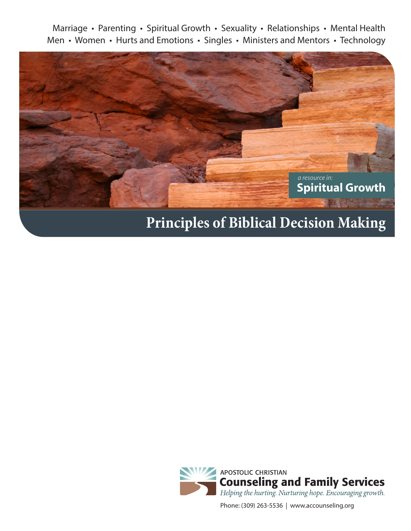Marriage • Parenting • Spiritual Growth • Sexuality • Relationships • Mental Health Men • Women • Hurts and Emotions • Singles • Ministers and Mentors • Technology



# **Principles of Biblical Decision Making**



Phone: (309) 263-5536 | www.accounseling.org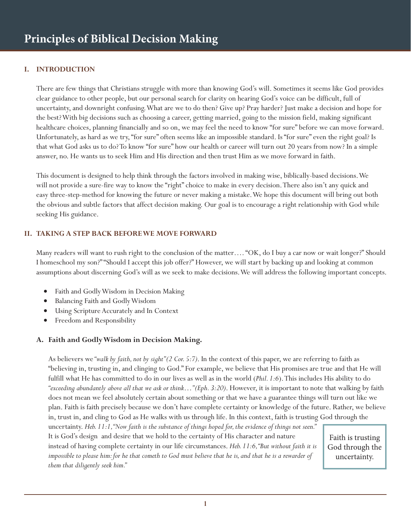### **I. INTRODUCTION**

There are few things that Christians struggle with more than knowing God's will. Sometimes it seems like God provides clear guidance to other people, but our personal search for clarity on hearing God's voice can be difficult, full of uncertainty, and downright confusing. What are we to do then? Give up? Pray harder? Just make a decision and hope for the best? With big decisions such as choosing a career, getting married, going to the mission field, making significant healthcare choices, planning financially and so on, we may feel the need to know "for sure" before we can move forward. Unfortunately, as hard as we try, "for sure" often seems like an impossible standard. Is "for sure" even the right goal? Is that what God asks us to do? To know "for sure" how our health or career will turn out 20 years from now? In a simple answer, no. He wants us to seek Him and His direction and then trust Him as we move forward in faith.

This document is designed to help think through the factors involved in making wise, biblically-based decisions. We will not provide a sure-fire way to know the "right" choice to make in every decision. There also isn't any quick and easy three-step-method for knowing the future or never making a mistake. We hope this document will bring out both the obvious and subtle factors that affect decision making. Our goal is to encourage a right relationship with God while seeking His guidance.

#### **II. TAKING A STEP BACK BEFORE WE MOVE FORWARD**

Many readers will want to rush right to the conclusion of the matter.... "OK, do I buy a car now or wait longer?" Should I homeschool my son?" "Should I accept this job offer?" However, we will start by backing up and looking at common assumptions about discerning God's will as we seek to make decisions. We will address the following important concepts.

- Faith and Godly Wisdom in Decision Making
- Balancing Faith and Godly Wisdom
- Using Scripture Accurately and In Context
- Freedom and Responsibility

#### **A. Faith and Godly Wisdom in Decision Making.**

As believers we *"walk by faith, not by sight" (2 Cor. 5:7)*. In the context of this paper, we are referring to faith as "believing in, trusting in, and clinging to God." For example, we believe that His promises are true and that He will fulfill what He has committed to do in our lives as well as in the world (*Phil. 1:6*). This includes His ability to do *"exceeding abundantly above all that we ask or think…" (Eph. 3:20)*. However, it is important to note that walking by faith does not mean we feel absolutely certain about something or that we have a guarantee things will turn out like we plan. Faith is faith precisely because we don't have complete certainty or knowledge of the future. Rather, we believe in, trust in, and cling to God as He walks with us through life. In this context, faith is trusting God through the

uncertainty. *Heb. 11:1, "Now faith is the substance of things hoped for, the evidence of things not seen."*  It is God's design and desire that we hold to the certainty of His character and nature instead of having complete certainty in our life circumstances. *Heb. 11:6, "But without faith it is impossible to please him: for he that cometh to God must believe that he is, and that he is a rewarder of them that diligently seek him."*

Faith is trusting God through the uncertainty.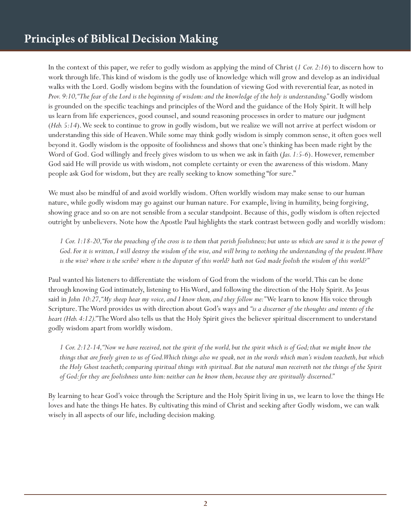In the context of this paper, we refer to godly wisdom as applying the mind of Christ (*1 Cor. 2:16*) to discern how to work through life. This kind of wisdom is the godly use of knowledge which will grow and develop as an individual walks with the Lord. Godly wisdom begins with the foundation of viewing God with reverential fear, as noted in *Prov. 9:10, "The fear of the Lord is the beginning of wisdom: and the knowledge of the holy is understanding."* Godly wisdom is grounded on the specific teachings and principles of the Word and the guidance of the Holy Spirit. It will help us learn from life experiences, good counsel, and sound reasoning processes in order to mature our judgment (*Heb. 5:14*). We seek to continue to grow in godly wisdom, but we realize we will not arrive at perfect wisdom or understanding this side of Heaven. While some may think godly wisdom is simply common sense, it often goes well beyond it. Godly wisdom is the opposite of foolishness and shows that one's thinking has been made right by the Word of God. God willingly and freely gives wisdom to us when we ask in faith (*Jas. 1:5-6*). However, remember God said He will provide us with wisdom, not complete certainty or even the awareness of this wisdom. Many people ask God for wisdom, but they are really seeking to know something "for sure."

We must also be mindful of and avoid worldly wisdom. Often worldly wisdom may make sense to our human nature, while godly wisdom may go against our human nature. For example, living in humility, being forgiving, showing grace and so on are not sensible from a secular standpoint. Because of this, godly wisdom is often rejected outright by unbelievers. Note how the Apostle Paul highlights the stark contrast between godly and worldly wisdom:

*1 Cor. 1:18-20, "For the preaching of the cross is to them that perish foolishness; but unto us which are saved it is the power of God. For it is written, I will destroy the wisdom of the wise, and will bring to nothing the understanding of the prudent. Where is the wise? where is the scribe? where is the disputer of this world? hath not God made foolish the wisdom of this world?"*

Paul wanted his listeners to differentiate the wisdom of God from the wisdom of the world. This can be done through knowing God intimately, listening to His Word, and following the direction of the Holy Spirit. As Jesus said in *John 10:27, "My sheep hear my voice, and I know them, and they follow me:*" We learn to know His voice through Scripture. The Word provides us with direction about God's ways and *"is a discerner of the thoughts and intents of the heart (Heb. 4:12)."* The Word also tells us that the Holy Spirit gives the believer spiritual discernment to understand godly wisdom apart from worldly wisdom.

*1 Cor. 2:12-14, "Now we have received, not the spirit of the world, but the spirit which is of God; that we might know the things that are freely given to us of God. Which things also we speak, not in the words which man's wisdom teacheth, but which the Holy Ghost teacheth; comparing spiritual things with spiritual. But the natural man receiveth not the things of the Spirit of God: for they are foolishness unto him: neither can he know them, because they are spiritually discerned."*

By learning to hear God's voice through the Scripture and the Holy Spirit living in us, we learn to love the things He loves and hate the things He hates. By cultivating this mind of Christ and seeking after Godly wisdom, we can walk wisely in all aspects of our life, including decision making.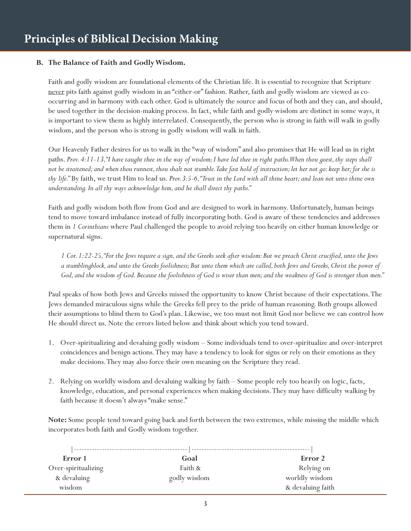#### **B. The Balance of Faith and Godly Wisdom.**

Faith and godly wisdom are foundational elements of the Christian life. It is essential to recognize that Scripture never pits faith against godly wisdom in an "either-or" fashion. Rather, faith and godly wisdom are viewed as cooccurring and in harmony with each other. God is ultimately the source and focus of both and they can, and should, be used together in the decision-making process. In fact, while faith and godly wisdom are distinct in some ways, it is important to view them as highly interrelated. Consequently, the person who is strong in faith will walk in godly wisdom, and the person who is strong in godly wisdom will walk in faith.

Our Heavenly Father desires for us to walk in the "way of wisdom" and also promises that He will lead us in right paths. *Prov. 4:11-13, "I have taught thee in the way of wisdom; I have led thee in right paths. When thou goest, thy steps shall not be straitened; and when thou runnest, thou shalt not stumble. Take fast hold of instruction; let her not go: keep her; for she is thy life."* By faith, we trust Him to lead us. *Prov.3:5-6, "Trust in the Lord with all thine heart; and lean not unto thine own understanding. In all thy ways acknowledge him, and he shall direct thy paths."* 

Faith and godly wisdom both flow from God and are designed to work in harmony. Unfortunately, human beings tend to move toward imbalance instead of fully incorporating both. God is aware of these tendencies and addresses them in *1 Corinthians* where Paul challenged the people to avoid relying too heavily on either human knowledge or supernatural signs.

*1 Cor. 1:22-25, "For the Jews require a sign, and the Greeks seek after wisdom: But we preach Christ crucified, unto the Jews a stumblingblock, and unto the Greeks foolishness; But unto them which are called, both Jews and Greeks, Christ the power of God, and the wisdom of God. Because the foolishness of God is wiser than men; and the weakness of God is stronger than men."*

Paul speaks of how both Jews and Greeks missed the opportunity to know Christ because of their expectations. The Jews demanded miraculous signs while the Greeks fell prey to the pride of human reasoning. Both groups allowed their assumptions to blind them to God's plan. Likewise, we too must not limit God nor believe we can control how He should direct us. Note the errors listed below and think about which you tend toward.

- 1. Over-spiritualizing and devaluing godly wisdom Some individuals tend to over-spiritualize and over-interpret coincidences and benign actions. They may have a tendency to look for signs or rely on their emotions as they make decisions. They may also force their own meaning on the Scripture they read.
- 2. Relying on worldly wisdom and devaluing walking by faith Some people rely too heavily on logic, facts, knowledge, education, and personal experiences when making decisions. They may have difficulty walking by faith because it doesn't always "make sense."

**Note:** Some people tend toward going back and forth between the two extremes, while missing the middle which incorporates both faith and Godly wisdom together.

| Error 1             | Goal         | Error 2           |
|---------------------|--------------|-------------------|
| Over-spiritualizing | Faith &      | Relying on        |
| & devaluing         | godly wisdom | worldly wisdom    |
| wisdom              |              | & devaluing faith |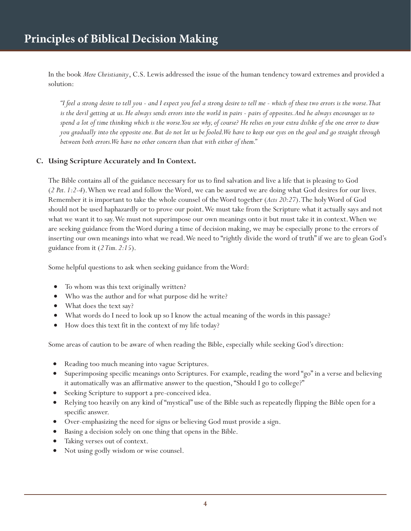In the book *Mere Christianity*, C.S. Lewis addressed the issue of the human tendency toward extremes and provided a solution:

*"I feel a strong desire to tell you - and I expect you feel a strong desire to tell me - which of these two errors is the worse. That is the devil getting at us. He always sends errors into the world in pairs - pairs of opposites. And he always encourages us to spend a lot of time thinking which is the worse. You see why, of course? He relies on your extra dislike of the one error to draw you gradually into the opposite one. But do not let us be fooled. We have to keep our eyes on the goal and go straight through between both errors. We have no other concern than that with either of them."*

#### **C. Using Scripture Accurately and In Context.**

The Bible contains all of the guidance necessary for us to find salvation and live a life that is pleasing to God (*2 Pet. 1:2-4*). When we read and follow the Word, we can be assured we are doing what God desires for our lives. Remember it is important to take the whole counsel of the Word together (*Acts 20:27*). The holy Word of God should not be used haphazardly or to prove our point. We must take from the Scripture what it actually says and not what we want it to say. We must not superimpose our own meanings onto it but must take it in context. When we are seeking guidance from the Word during a time of decision making, we may be especially prone to the errors of inserting our own meanings into what we read. We need to "rightly divide the word of truth" if we are to glean God's guidance from it (*2 Tim. 2:15*).

Some helpful questions to ask when seeking guidance from the Word:

- To whom was this text originally written?
- Who was the author and for what purpose did he write?
- What does the text say?
- What words do I need to look up so I know the actual meaning of the words in this passage?
- How does this text fit in the context of my life today?

Some areas of caution to be aware of when reading the Bible, especially while seeking God's direction:

- Reading too much meaning into vague Scriptures.
- Superimposing specific meanings onto Scriptures. For example, reading the word "go" in a verse and believing it automatically was an affirmative answer to the question, "Should I go to college?"
- Seeking Scripture to support a pre-conceived idea.
- Relying too heavily on any kind of "mystical" use of the Bible such as repeatedly flipping the Bible open for a specific answer.
- Over-emphasizing the need for signs or believing God must provide a sign.
- Basing a decision solely on one thing that opens in the Bible.
- Taking verses out of context.
- Not using godly wisdom or wise counsel.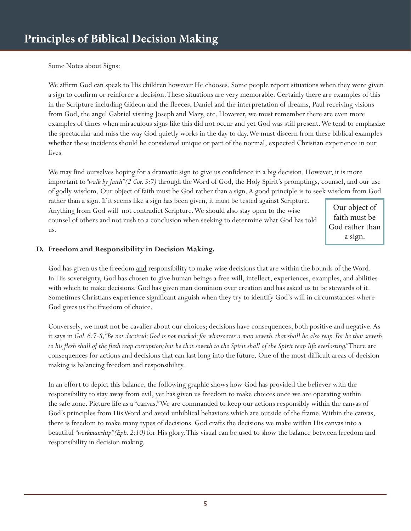Some Notes about Signs:

We affirm God can speak to His children however He chooses. Some people report situations when they were given a sign to confirm or reinforce a decision. These situations are very memorable. Certainly there are examples of this in the Scripture including Gideon and the fleeces, Daniel and the interpretation of dreams, Paul receiving visions from God, the angel Gabriel visiting Joseph and Mary, etc. However, we must remember there are even more examples of times when miraculous signs like this did not occur and yet God was still present. We tend to emphasize the spectacular and miss the way God quietly works in the day to day. We must discern from these biblical examples whether these incidents should be considered unique or part of the normal, expected Christian experience in our lives.

We may find ourselves hoping for a dramatic sign to give us confidence in a big decision. However, it is more important to *"walk by faith" (2 Cor. 5:7)* through the Word of God, the Holy Spirit's promptings, counsel, and our use of godly wisdom. Our object of faith must be God rather than a sign. A good principle is to seek wisdom from God

rather than a sign. If it seems like a sign has been given, it must be tested against Scripture. Anything from God will not contradict Scripture. We should also stay open to the wise counsel of others and not rush to a conclusion when seeking to determine what God has told us.

Our object of faith must be God rather than a sign.

## **D. Freedom and Responsibility in Decision Making.**

God has given us the freedom and responsibility to make wise decisions that are within the bounds of the Word. In His sovereignty, God has chosen to give human beings a free will, intellect, experiences, examples, and abilities with which to make decisions. God has given man dominion over creation and has asked us to be stewards of it. Sometimes Christians experience significant anguish when they try to identify God's will in circumstances where God gives us the freedom of choice.

Conversely, we must not be cavalier about our choices; decisions have consequences, both positive and negative. As it says in *Gal. 6:7-8, "Be not deceived; God is not mocked: for whatsoever a man soweth, that shall he also reap. For he that soweth to his flesh shall of the flesh reap corruption; but he that soweth to the Spirit shall of the Spirit reap life everlasting."* There are consequences for actions and decisions that can last long into the future. One of the most difficult areas of decision making is balancing freedom and responsibility.

In an effort to depict this balance, the following graphic shows how God has provided the believer with the responsibility to stay away from evil, yet has given us freedom to make choices once we are operating within the safe zone. Picture life as a "canvas." We are commanded to keep our actions responsibly within the canvas of God's principles from His Word and avoid unbiblical behaviors which are outside of the frame. Within the canvas, there is freedom to make many types of decisions. God crafts the decisions we make within His canvas into a beautiful *"workmanship" (Eph. 2:10)* for His glory. This visual can be used to show the balance between freedom and responsibility in decision making.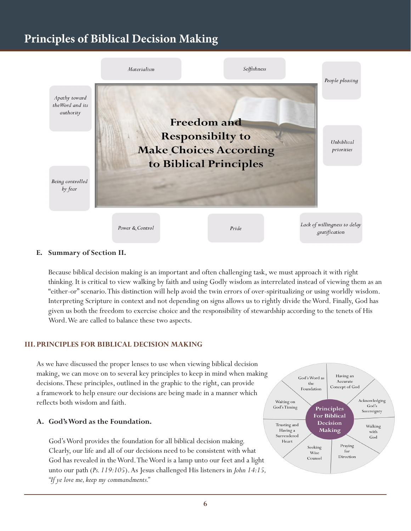# **Principles of Biblical Decision Making**



#### **E. Summary of Section II.**

Because biblical decision making is an important and often challenging task, we must approach it with right thinking. It is critical to view walking by faith and using Godly wisdom as interrelated instead of viewing them as an "either-or" scenario. This distinction will help avoid the twin errors of over-spiritualizing or using worldly wisdom. Interpreting Scripture in context and not depending on signs allows us to rightly divide the Word. Finally, God has given us both the freedom to exercise choice and the responsibility of stewardship according to the tenets of His Word. We are called to balance these two aspects.

#### **III. PRINCIPLES FOR BIBLICAL DECISION MAKING**

As we have discussed the proper lenses to use when viewing biblical decision making, we can move on to several key principles to keep in mind when making decisions. These principles, outlined in the graphic to the right, can provide a framework to help ensure our decisions are being made in a manner which reflects both wisdom and faith.

#### **A. God's Word as the Foundation.**

God's Word provides the foundation for all biblical decision making. Clearly, our life and all of our decisions need to be consistent with what God has revealed in the Word. The Word is a lamp unto our feet and a light unto our path (*Ps. 119:105*). As Jesus challenged His listeners in *John 14:15, "If ye love me, keep my commandments."* 

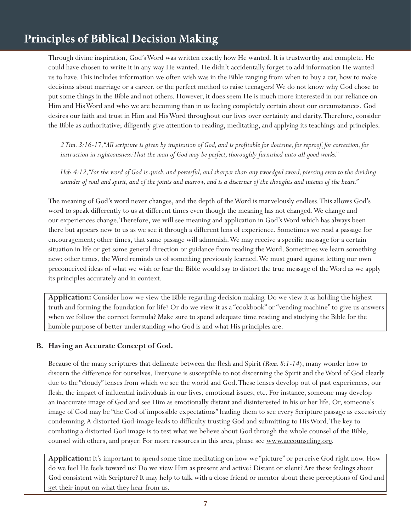# **Principles of Biblical Decision Making**

Through divine inspiration, God's Word was written exactly how He wanted. It is trustworthy and complete. He could have chosen to write it in any way He wanted. He didn't accidentally forget to add information He wanted us to have. This includes information we often wish was in the Bible ranging from when to buy a car, how to make decisions about marriage or a career, or the perfect method to raise teenagers! We do not know why God chose to put some things in the Bible and not others. However, it does seem He is much more interested in our reliance on Him and His Word and who we are becoming than in us feeling completely certain about our circumstances. God desires our faith and trust in Him and His Word throughout our lives over certainty and clarity. Therefore, consider the Bible as authoritative; diligently give attention to reading, meditating, and applying its teachings and principles.

*2 Tim. 3:16-17, "All scripture is given by inspiration of God, and is profitable for doctrine, for reproof, for correction, for instruction in righteousness: That the man of God may be perfect, thoroughly furnished unto all good works."*

*Heb. 4:12, "For the word of God is quick, and powerful, and sharper than any twoedged sword, piercing even to the dividing asunder of soul and spirit, and of the joints and marrow, and is a discerner of the thoughts and intents of the heart."*

The meaning of God's word never changes, and the depth of the Word is marvelously endless. This allows God's word to speak differently to us at different times even though the meaning has not changed. We change and our experiences change. Therefore, we will see meaning and application in God's Word which has always been there but appears new to us as we see it through a different lens of experience. Sometimes we read a passage for encouragement; other times, that same passage will admonish. We may receive a specific message for a certain situation in life or get some general direction or guidance from reading the Word. Sometimes we learn something new; other times, the Word reminds us of something previously learned. We must guard against letting our own preconceived ideas of what we wish or fear the Bible would say to distort the true message of the Word as we apply its principles accurately and in context.

**Application:** Consider how we view the Bible regarding decision making. Do we view it as holding the highest truth and forming the foundation for life? Or do we view it as a "cookbook" or "vending machine" to give us answers when we follow the correct formula? Make sure to spend adequate time reading and studying the Bible for the humble purpose of better understanding who God is and what His principles are.

#### **B. Having an Accurate Concept of God.**

Because of the many scriptures that delineate between the flesh and Spirit (*Rom. 8:1-14*), many wonder how to discern the difference for ourselves. Everyone is susceptible to not discerning the Spirit and the Word of God clearly due to the "cloudy" lenses from which we see the world and God. These lenses develop out of past experiences, our flesh, the impact of influential individuals in our lives, emotional issues, etc. For instance, someone may develop an inaccurate image of God and see Him as emotionally distant and disinterested in his or her life. Or, someone's image of God may be "the God of impossible expectations" leading them to see every Scripture passage as excessively condemning. A distorted God-image leads to difficulty trusting God and submitting to His Word. The key to combating a distorted God image is to test what we believe about God through the whole counsel of the Bible, counsel with others, and prayer. For more resources in this area, please see www.accounseling.org.

**Application:** It's important to spend some time meditating on how we "picture" or perceive God right now. How do we feel He feels toward us? Do we view Him as present and active? Distant or silent? Are these feelings about God consistent with Scripture? It may help to talk with a close friend or mentor about these perceptions of God and get their input on what they hear from us.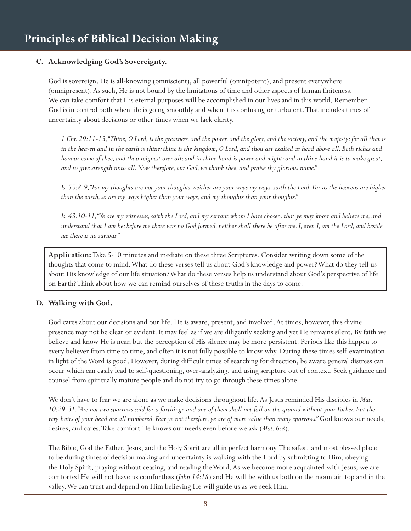### **C. Acknowledging God's Sovereignty.**

God is sovereign. He is all-knowing (omniscient), all powerful (omnipotent), and present everywhere (omnipresent). As such, He is not bound by the limitations of time and other aspects of human finiteness. We can take comfort that His eternal purposes will be accomplished in our lives and in this world. Remember God is in control both when life is going smoothly and when it is confusing or turbulent. That includes times of uncertainty about decisions or other times when we lack clarity.

*1 Chr. 29:11-13, "Thine, O Lord, is the greatness, and the power, and the glory, and the victory, and the majesty: for all that is in the heaven and in the earth is thine; thine is the kingdom, O Lord, and thou art exalted as head above all. Both riches and honour come of thee, and thou reignest over all; and in thine hand is power and might; and in thine hand it is to make great, and to give strength unto all. Now therefore, our God, we thank thee, and praise thy glorious name."*

*Is. 55:8-9, "For my thoughts are not your thoughts, neither are your ways my ways, saith the Lord. For as the heavens are higher than the earth, so are my ways higher than your ways, and my thoughts than your thoughts."*

*Is. 43:10-11, "Ye are my witnesses, saith the Lord, and my servant whom I have chosen: that ye may know and believe me, and understand that I am he: before me there was no God formed, neither shall there be after me. I, even I, am the Lord; and beside me there is no saviour."*

**Application:** Take 5-10 minutes and mediate on these three Scriptures. Consider writing down some of the thoughts that come to mind. What do these verses tell us about God's knowledge and power? What do they tell us about His knowledge of our life situation? What do these verses help us understand about God's perspective of life on Earth? Think about how we can remind ourselves of these truths in the days to come.

#### **D. Walking with God.**

God cares about our decisions and our life. He is aware, present, and involved. At times, however, this divine presence may not be clear or evident. It may feel as if we are diligently seeking and yet He remains silent. By faith we believe and know He is near, but the perception of His silence may be more persistent. Periods like this happen to every believer from time to time, and often it is not fully possible to know why. During these times self-examination in light of the Word is good. However, during difficult times of searching for direction, be aware general distress can occur which can easily lead to self-questioning, over-analyzing, and using scripture out of context. Seek guidance and counsel from spiritually mature people and do not try to go through these times alone.

We don't have to fear we are alone as we make decisions throughout life. As Jesus reminded His disciples in *Mat. 10:29-31, "Are not two sparrows sold for a farthing? and one of them shall not fall on the ground without your Father. But the very hairs of your head are all numbered. Fear ye not therefore, ye are of more value than many sparrows."* God knows our needs, desires, and cares. Take comfort He knows our needs even before we ask (*Mat. 6:8*).

The Bible, God the Father, Jesus, and the Holy Spirit are all in perfect harmony. The safest and most blessed place to be during times of decision making and uncertainty is walking with the Lord by submitting to Him, obeying the Holy Spirit, praying without ceasing, and reading the Word. As we become more acquainted with Jesus, we are comforted He will not leave us comfortless (*John 14:18*) and He will be with us both on the mountain top and in the valley. We can trust and depend on Him believing He will guide us as we seek Him.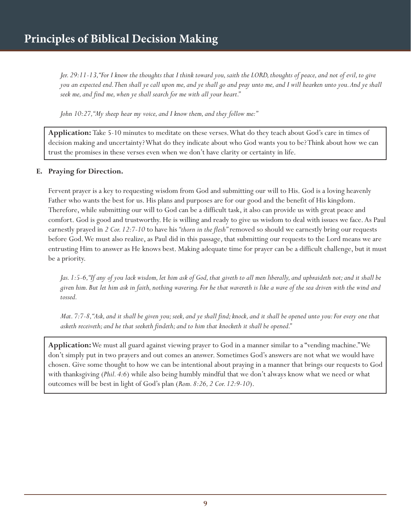*Jer. 29:11-13, "For I know the thoughts that I think toward you, saith the LORD, thoughts of peace, and not of evil, to give you an expected end. Then shall ye call upon me, and ye shall go and pray unto me, and I will hearken unto you. And ye shall seek me, and find me, when ye shall search for me with all your heart."*

*John 10:27, "My sheep hear my voice, and I know them, and they follow me:"*

**Application:** Take 5-10 minutes to meditate on these verses. What do they teach about God's care in times of decision making and uncertainty? What do they indicate about who God wants you to be? Think about how we can trust the promises in these verses even when we don't have clarity or certainty in life.

#### **E. Praying for Direction.**

Fervent prayer is a key to requesting wisdom from God and submitting our will to His. God is a loving heavenly Father who wants the best for us. His plans and purposes are for our good and the benefit of His kingdom. Therefore, while submitting our will to God can be a difficult task, it also can provide us with great peace and comfort. God is good and trustworthy. He is willing and ready to give us wisdom to deal with issues we face. As Paul earnestly prayed in *2 Cor. 12:7-10* to have his *"thorn in the flesh"* removed so should we earnestly bring our requests before God. We must also realize, as Paul did in this passage, that submitting our requests to the Lord means we are entrusting Him to answer as He knows best. Making adequate time for prayer can be a difficult challenge, but it must be a priority.

*Jas. 1:5-6, "If any of you lack wisdom, let him ask of God, that giveth to all men liberally, and upbraideth not; and it shall be given him. But let him ask in faith, nothing wavering. For he that wavereth is like a wave of the sea driven with the wind and tossed.*

*Mat. 7:7-8, "Ask, and it shall be given you; seek, and ye shall find; knock, and it shall be opened unto you: For every one that asketh receiveth; and he that seeketh findeth; and to him that knocketh it shall be opened."*

**Application:** We must all guard against viewing prayer to God in a manner similar to a "vending machine." We don't simply put in two prayers and out comes an answer. Sometimes God's answers are not what we would have chosen. Give some thought to how we can be intentional about praying in a manner that brings our requests to God with thanksgiving (*Phil. 4:6*) while also being humbly mindful that we don't always know what we need or what outcomes will be best in light of God's plan (*Rom. 8:26, 2 Cor. 12:9-10*).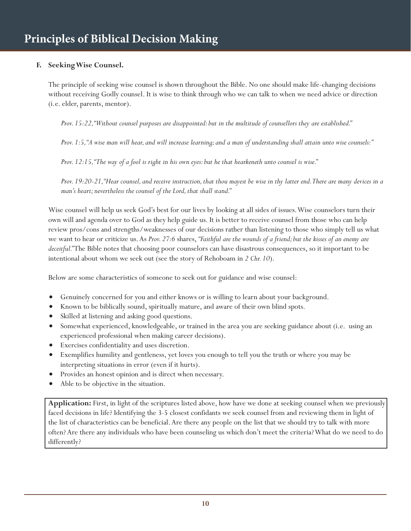### **F. Seeking Wise Counsel.**

The principle of seeking wise counsel is shown throughout the Bible. No one should make life-changing decisions without receiving Godly counsel. It is wise to think through who we can talk to when we need advice or direction (i.e. elder, parents, mentor).

*Prov. 15:22, "Without counsel purposes are disappointed: but in the multitude of counsellors they are established."*

*Prov. 1:5, "A wise man will hear, and will increase learning; and a man of understanding shall attain unto wise counsels:"*

*Prov. 12:15, "The way of a fool is right in his own eyes: but he that hearkeneth unto counsel is wise."*

*Prov. 19:20-21, "Hear counsel, and receive instruction, that thou mayest be wise in thy latter end. There are many devices in a man's heart; nevertheless the counsel of the Lord, that shall stand."*

Wise counsel will help us seek God's best for our lives by looking at all sides of issues. Wise counselors turn their own will and agenda over to God as they help guide us. It is better to receive counsel from those who can help review pros/cons and strengths/weaknesses of our decisions rather than listening to those who simply tell us what we want to hear or criticize us. As *Prov. 27:6* shares, *"Faithful are the wounds of a friend; but the kisses of an enemy are deceitful."* The Bible notes that choosing poor counselors can have disastrous consequences, so it important to be intentional about whom we seek out (see the story of Rehoboam in *2 Chr. 10*).

Below are some characteristics of someone to seek out for guidance and wise counsel:

- Genuinely concerned for you and either knows or is willing to learn about your background.
- Known to be biblically sound, spiritually mature, and aware of their own blind spots.
- Skilled at listening and asking good questions.
- Somewhat experienced, knowledgeable, or trained in the area you are seeking guidance about (i.e. using an experienced professional when making career decisions).
- Exercises confidentiality and uses discretion.
- Exemplifies humility and gentleness, yet loves you enough to tell you the truth or where you may be interpreting situations in error (even if it hurts).
- Provides an honest opinion and is direct when necessary.
- Able to be objective in the situation.

**Application:** First, in light of the scriptures listed above, how have we done at seeking counsel when we previously faced decisions in life? Identifying the 3-5 closest confidants we seek counsel from and reviewing them in light of the list of characteristics can be beneficial. Are there any people on the list that we should try to talk with more often? Are there any individuals who have been counseling us which don't meet the criteria? What do we need to do differently?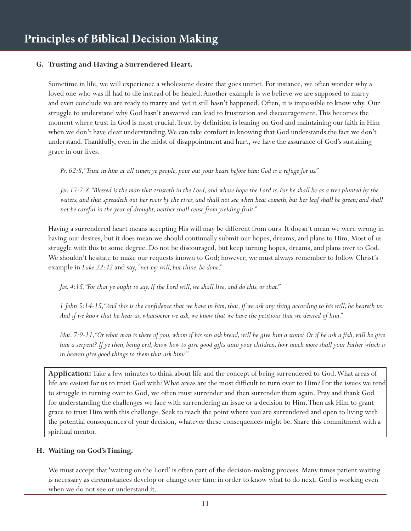### **G. Trusting and Having a Surrendered Heart.**

Sometime in life, we will experience a wholesome desire that goes unmet. For instance, we often wonder why a loved one who was ill had to die instead of be healed. Another example is we believe we are supposed to marry and even conclude we are ready to marry and yet it still hasn't happened. Often, it is impossible to know why. Our struggle to understand why God hasn't answered can lead to frustration and discouragement. This becomes the moment where trust in God is most crucial. Trust by definition is leaning on God and maintaining our faith in Him when we don't have clear understanding. We can take comfort in knowing that God understands the fact we don't understand. Thankfully, even in the midst of disappointment and hurt, we have the assurance of God's sustaining grace in our lives.

*Ps. 62:8, "Trust in him at all times; ye people, pour out your heart before him: God is a refuge for us."*

*Jer. 17:7-8, "Blessed is the man that trusteth in the Lord, and whose hope the Lord is. For he shall be as a tree planted by the waters, and that spreadeth out her roots by the river, and shall not see when heat cometh, but her leaf shall be green; and shall not be careful in the year of drought, neither shall cease from yielding fruit."*

Having a surrendered heart means accepting His will may be different from ours. It doesn't mean we were wrong in having our desires, but it does mean we should continually submit our hopes, dreams, and plans to Him. Most of us struggle with this to some degree. Do not be discouraged, but keep turning hopes, dreams, and plans over to God. We shouldn't hesitate to make our requests known to God; however, we must always remember to follow Christ's example in *Luke 22:42* and say, *"not my will, but thine, be done."*

*Jas. 4:15, "For that ye ought to say, If the Lord will, we shall live, and do this, or that."*

*1 John 5:14-15, "And this is the confidence that we have in him, that, if we ask any thing according to his will, he heareth us: And if we know that he hear us, whatsoever we ask, we know that we have the petitions that we desired of him."*

*Mat.* 7:9-11, "Or what man is there of you, whom if his son ask bread, will he give him a stone? Or if he ask a fish, will he give *him a serpent? If ye then, being evil, know how to give good gifts unto your children, how much more shall your Father which is in heaven give good things to them that ask him?"*

**Application:** Take a few minutes to think about life and the concept of being surrendered to God. What areas of life are easiest for us to trust God with? What areas are the most difficult to turn over to Him? For the issues we tend to struggle in turning over to God, we often must surrender and then surrender them again. Pray and thank God for understanding the challenges we face with surrendering an issue or a decision to Him. Then ask Him to grant grace to trust Him with this challenge. Seek to reach the point where you are surrendered and open to living with the potential consequences of your decision, whatever these consequences might be. Share this commitment with a spiritual mentor.

#### **H. Waiting on God's Timing.**

We must accept that 'waiting on the Lord' is often part of the decision-making process. Many times patient waiting is necessary as circumstances develop or change over time in order to know what to do next. God is working even when we do not see or understand it.